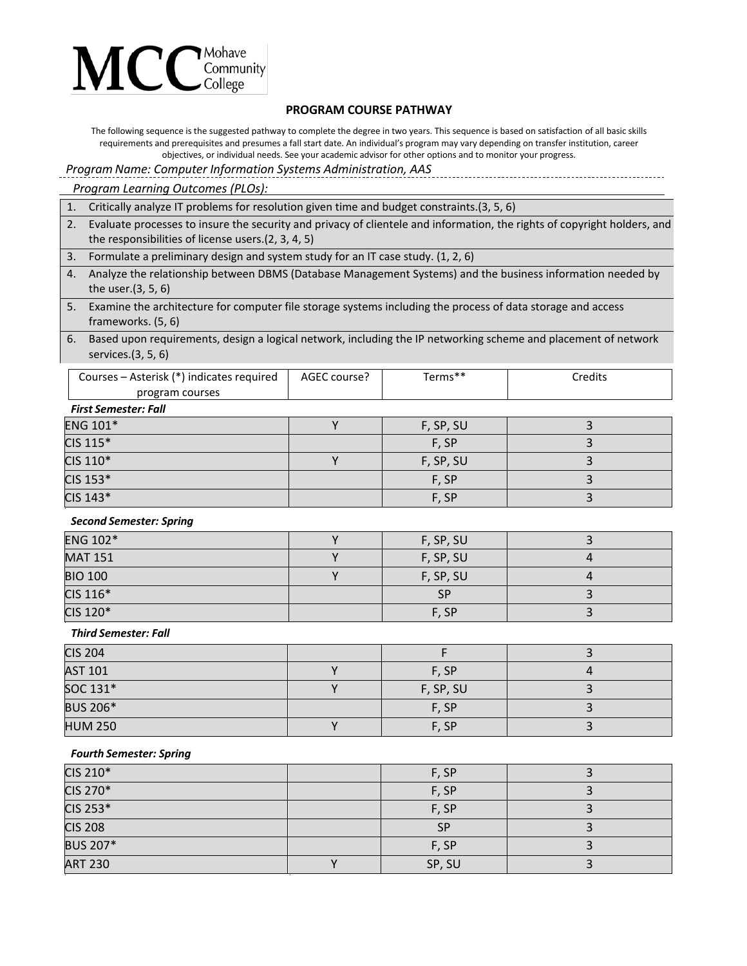

## **PROGRAM COURSE PATHWAY**

The following sequence is the suggested pathway to complete the degree in two years. This sequence is based on satisfaction of all basic skills requirements and prerequisites and presumes a fall start date. An individual's program may vary depending on transfer institution, career objectives, or individual needs. See your academic advisor for other options and to monitor your progress.

*Program Name: Computer Information Systems Administration, AAS*

### *Program Learning Outcomes (PLOs):*

|  |  |  | 1. Critically analyze IT problems for resolution given time and budget constraints. (3, 5, 6) |  |  |
|--|--|--|-----------------------------------------------------------------------------------------------|--|--|
|--|--|--|-----------------------------------------------------------------------------------------------|--|--|

- 2. Evaluate processes to insure the security and privacy of clientele and information, the rights of copyright holders, and the responsibilities of license users.(2, 3, 4, 5)
- 3. Formulate a preliminary design and system study for an IT case study. (1, 2, 6)
- 4. Analyze the relationship between DBMS (Database Management Systems) and the business information needed by the user.(3, 5, 6)
- 5. Examine the architecture for computer file storage systems including the process of data storage and access frameworks. (5, 6)
- 6. Based upon requirements, design a logical network, including the IP networking scheme and placement of network services.(3, 5, 6)

| Courses – Asterisk (*) indicates required | AGEC course? | Terms** | Credits |  |
|-------------------------------------------|--------------|---------|---------|--|
| program courses                           |              |         |         |  |
| Final Cameralan, Fall                     |              |         |         |  |

#### *First Semester: Fall*

| <b>ENG 101*</b> | F, SP, SU |  |
|-----------------|-----------|--|
| CIS 115*        | F, SP     |  |
| CIS 110*        | F, SP, SU |  |
| CIS 153*        | F, SP     |  |
| CIS 143*        | F, SP     |  |

#### *Second Semester: Spring*

| <b>ENG 102*</b> | F, SP, SU |  |
|-----------------|-----------|--|
| <b>MAT 151</b>  | F, SP, SU |  |
| <b>BIO 100</b>  | F, SP, SU |  |
| CIS 116*        | <b>SP</b> |  |
| CIS 120*        | F, SP     |  |

### *Third Semester: Fall*

| <b>CIS 204</b>  |           |  |
|-----------------|-----------|--|
| <b>AST 101</b>  | F, SP     |  |
| SOC 131*        | F, SP, SU |  |
| <b>BUS 206*</b> | F, SP     |  |
| <b>HUM 250</b>  | F, SP     |  |

### *Fourth Semester: Spring*

| CIS 210*        | F, SP     |  |
|-----------------|-----------|--|
| CIS 270*        | F, SP     |  |
| CIS 253*        | F, SP     |  |
| <b>CIS 208</b>  | <b>SP</b> |  |
| <b>BUS 207*</b> | F, SP     |  |
| <b>ART 230</b>  | SP, SU    |  |